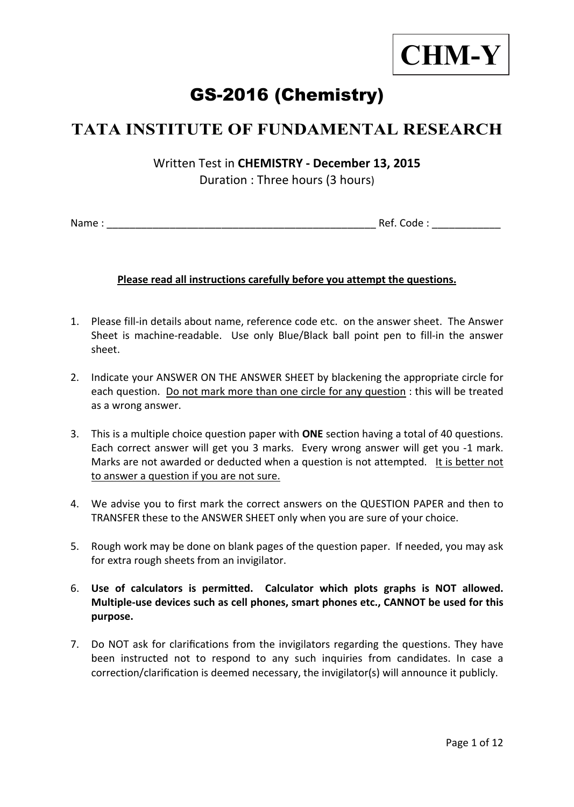

# GS-2016 (Chemistry)

## **TATA INSTITUTE OF FUNDAMENTAL RESEARCH**

Written Test in **CHEMISTRY - December 13, 2015**  Duration : Three hours (3 hours)

Name : \_\_\_\_\_\_\_\_\_\_\_\_\_\_\_\_\_\_\_\_\_\_\_\_\_\_\_\_\_\_\_\_\_\_\_\_\_\_\_\_\_\_\_\_\_\_\_ Ref. Code : \_\_\_\_\_\_\_\_\_\_\_\_

### **Please read all instructions carefully before you attempt the questions.**

- 1. Please fill-in details about name, reference code etc. on the answer sheet. The Answer Sheet is machine-readable. Use only Blue/Black ball point pen to fill-in the answer sheet.
- 2. Indicate your ANSWER ON THE ANSWER SHEET by blackening the appropriate circle for each question. Do not mark more than one circle for any question : this will be treated as a wrong answer.
- 3. This is a multiple choice question paper with **ONE** section having a total of 40 questions. Each correct answer will get you 3 marks. Every wrong answer will get you -1 mark. Marks are not awarded or deducted when a question is not attempted. It is better not to answer a question if you are not sure.
- 4. We advise you to first mark the correct answers on the QUESTION PAPER and then to TRANSFER these to the ANSWER SHEET only when you are sure of your choice.
- 5. Rough work may be done on blank pages of the question paper. If needed, you may ask for extra rough sheets from an invigilator.
- 6. **Use of calculators is permitted. Calculator which plots graphs is NOT allowed. Multiple-use devices such as cell phones, smart phones etc., CANNOT be used for this purpose.**
- 7. Do NOT ask for clarifications from the invigilators regarding the questions. They have been instructed not to respond to any such inquiries from candidates. In case a correction/clarification is deemed necessary, the invigilator(s) will announce it publicly.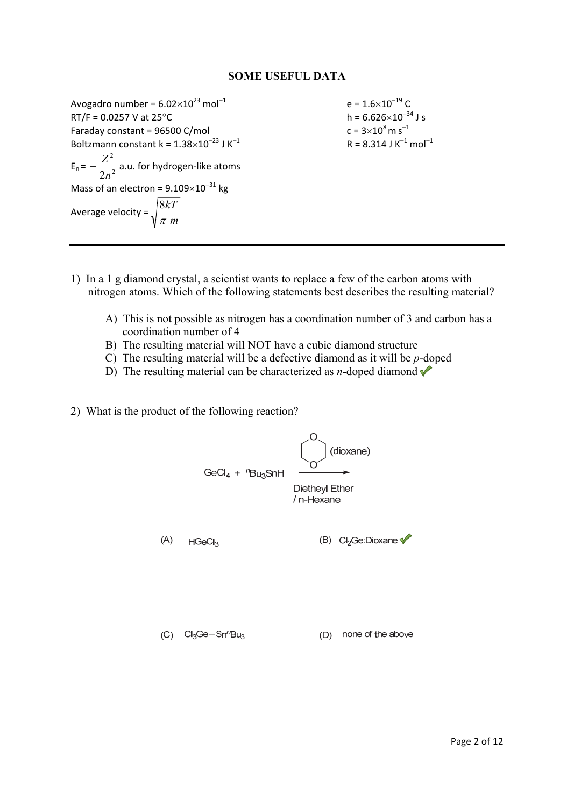#### **SOME USEFUL DATA**

Avogadro number =  $6.02 \times 10^{23}$  mol<sup>-1</sup> e =  $1.6 \times 10^{-19}$  C<br>RT/F = 0.0257 V at 25°C h =  $6.626 \times 10^{-34}$  J s  $RT/F = 0.0257$  V at  $25^{\circ}$ C Faraday constant =  $96500$  C/mol Boltzmann constant k =  $1.38\times10^{-23}$  J K<sup>-1</sup>  $E_n = -\frac{2}{2n^2}$ 2 2*n*  $-\frac{Z^2}{\sqrt{2}}$  a.u. for hydrogen-like atoms Mass of an electron =  $9.109\times10^{-31}$  kg Average velocity =  $\sqrt{\frac{cm}{\pi}}$  *m kT* π 8

 $c = 3 \times 10^8$  m s<sup>-1</sup>  $R = 8.314$  J K<sup>-1</sup> mol<sup>-1</sup>

- 1) In a 1 g diamond crystal, a scientist wants to replace a few of the carbon atoms with nitrogen atoms. Which of the following statements best describes the resulting material?
	- A) This is not possible as nitrogen has a coordination number of 3 and carbon has a coordination number of 4
	- B) The resulting material will NOT have a cubic diamond structure
	- C) The resulting material will be a defective diamond as it will be *p*-doped
	- D) The resulting material can be characterized as *n*-doped diamond  $\blacklozenge$
- 2) What is the product of the following reaction?

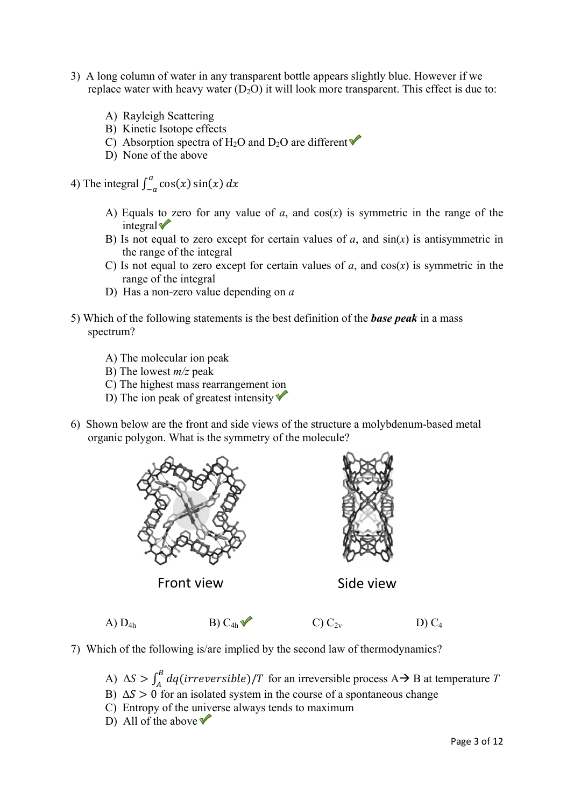- 3) A long column of water in any transparent bottle appears slightly blue. However if we replace water with heavy water  $(D_2O)$  it will look more transparent. This effect is due to:
	- A) Rayleigh Scattering
	- B) Kinetic Isotope effects
	- C) Absorption spectra of H<sub>2</sub>O and D<sub>2</sub>O are different  $\blacklozenge$
	- D) None of the above
- 4) The integral  $\int_{-a}^{a} \cos(x) \sin(x) dx$ 
	- A) Equals to zero for any value of  $a$ , and  $cos(x)$  is symmetric in the range of the  $integral$
	- B) Is not equal to zero except for certain values of  $a$ , and  $sin(x)$  is antisymmetric in the range of the integral
	- C) Is not equal to zero except for certain values of  $a$ , and  $cos(x)$  is symmetric in the range of the integral
	- D) Has a non-zero value depending on *a*
- 5) Which of the following statements is the best definition of the *base peak* in a mass spectrum?
	- A) The molecular ion peak
	- B) The lowest *m/z* peak
	- C) The highest mass rearrangement ion
	- D) The ion peak of greatest intensity  $\blacktriangledown$
- 6) Shown below are the front and side views of the structure a molybdenum-based metal organic polygon. What is the symmetry of the molecule?



Front view **Side view** 



- A)  $D_{4h}$  B)  $C_{4h}$  C)  $C_{2v}$  D)  $C_4$
- 7) Which of the following is/are implied by the second law of thermodynamics?
	- A)  $\Delta S > \int_A^B dq (irreversible)/T$  for an irreversible process A  $\rightarrow$  B at temperature *T*
	- B)  $\Delta S > 0$  for an isolated system in the course of a spontaneous change
	- C) Entropy of the universe always tends to maximum
	- D) All of the above  $\blacktriangledown$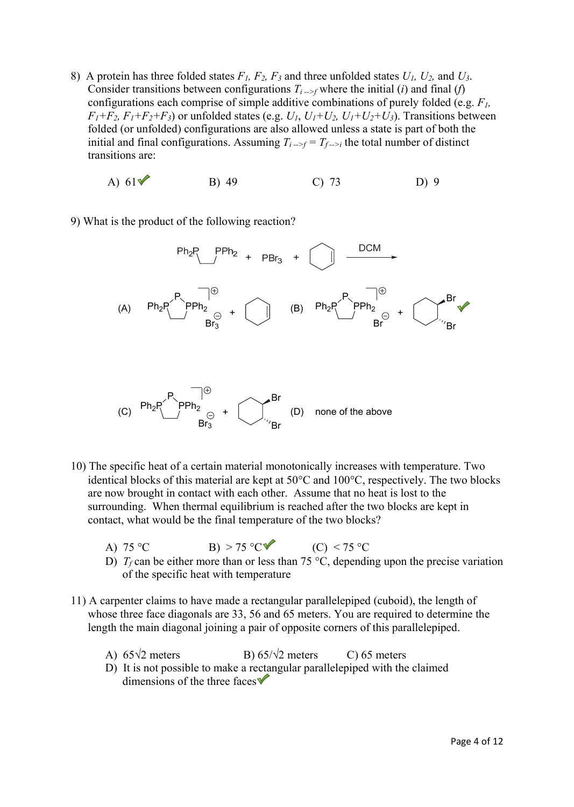- 8) A protein has three folded states *F1, F2, F3* and three unfolded states *U1, U2,* and *U3*. Consider transitions between configurations  $T_{i\rightarrow f}$  where the initial (*i*) and final (*f*) configurations each comprise of simple additive combinations of purely folded (e.g. *F1,*   $F_1 + F_2$ ,  $F_1 + F_2 + F_3$ ) or unfolded states (e.g.  $U_1$ ,  $U_1 + U_2$ ,  $U_1 + U_2 + U_3$ ). Transitions between folded (or unfolded) configurations are also allowed unless a state is part of both the initial and final configurations. Assuming  $T_{i\rightarrow f} = T_{f\rightarrow i}$  the total number of distinct transitions are:
	- A)  $61\sqrt{ }$  B) 49 C) 73 D) 9

9) What is the product of the following reaction?



- 10) The specific heat of a certain material monotonically increases with temperature. Two identical blocks of this material are kept at  $50^{\circ}$ C and  $100^{\circ}$ C, respectively. The two blocks are now brought in contact with each other. Assume that no heat is lost to the surrounding. When thermal equilibrium is reached after the two blocks are kept in contact, what would be the final temperature of the two blocks?
	- A) 75 °C B) > 75 °C (C) < 75 °C

- D)  $T_f$  can be either more than or less than 75 °C, depending upon the precise variation of the specific heat with temperature
- 11) A carpenter claims to have made a rectangular parallelepiped (cuboid), the length of whose three face diagonals are 33, 56 and 65 meters. You are required to determine the length the main diagonal joining a pair of opposite corners of this parallelepiped.
- A)  $65\sqrt{2}$  meters B)  $65/\sqrt{2}$  meters C) 65 meters
	- D) It is not possible to make a rectangular parallelepiped with the claimed dimensions of the three faces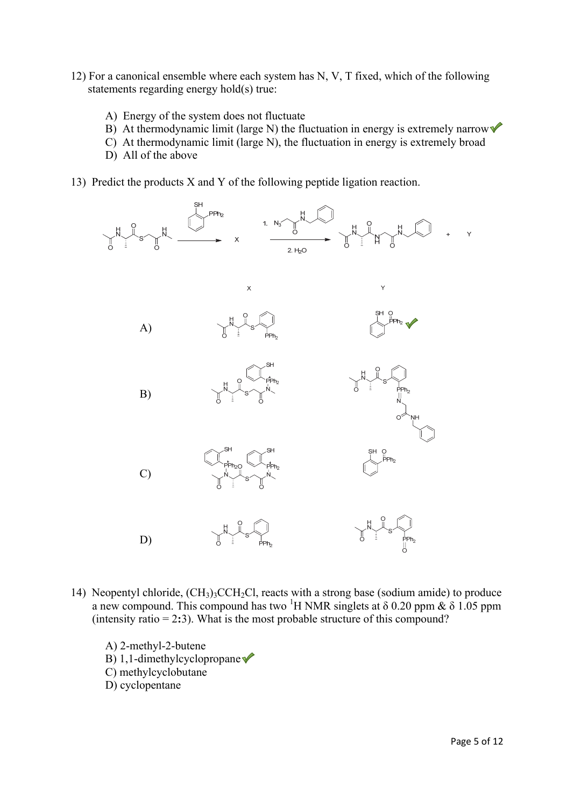- 12) For a canonical ensemble where each system has N, V, T fixed, which of the following statements regarding energy hold(s) true:
	- A) Energy of the system does not fluctuate
	- B) At thermodynamic limit (large N) the fluctuation in energy is extremely narrow
	- C) At thermodynamic limit (large N), the fluctuation in energy is extremely broad
	- D) All of the above
- 13) Predict the products X and Y of the following peptide ligation reaction.



- 14) Neopentyl chloride, (CH3)3CCH2Cl, reacts with a strong base (sodium amide) to produce a new compound. This compound has two <sup>1</sup>H NMR singlets at  $\delta$  0.20 ppm &  $\delta$  1.05 ppm (intensity ratio = 2**:**3). What is the most probable structure of this compound?
	- A) 2-methyl-2-butene B) 1,1-dimethylcyclopropane C) methylcyclobutane D) cyclopentane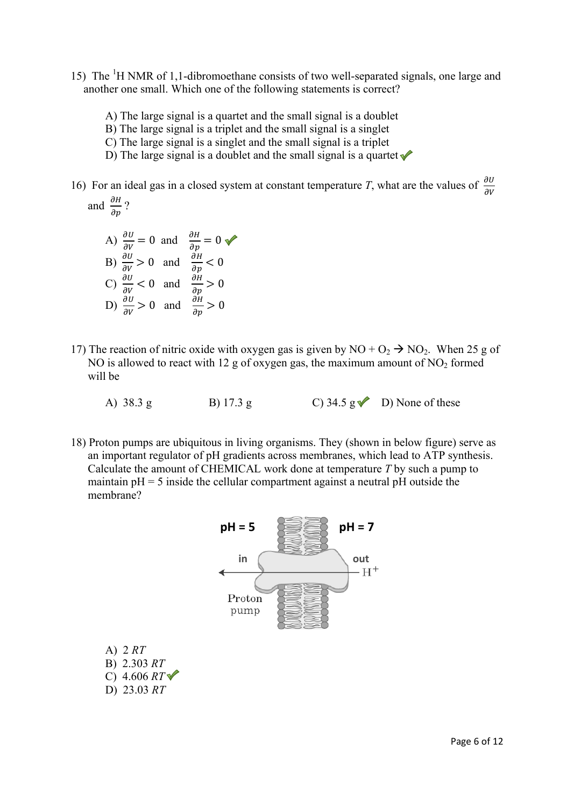- 15) The <sup>1</sup>H NMR of 1,1-dibromoethane consists of two well-separated signals, one large and another one small. Which one of the following statements is correct?
	- A) The large signal is a quartet and the small signal is a doublet
	- B) The large signal is a triplet and the small signal is a singlet
	- C) The large signal is a singlet and the small signal is a triplet
	- D) The large signal is a doublet and the small signal is a quartet  $\sqrt{\phantom{a}}$
- 16) For an ideal gas in a closed system at constant temperature *T*, what are the values of  $\frac{\partial U}{\partial V}$ and  $\frac{\partial H}{\partial p}$ ?

A) 
$$
\frac{\partial U}{\partial v} = 0
$$
 and  $\frac{\partial H}{\partial p} = 0$   
\nB)  $\frac{\partial U}{\partial v} > 0$  and  $\frac{\partial H}{\partial p} < 0$   
\nC)  $\frac{\partial U}{\partial v} < 0$  and  $\frac{\partial H}{\partial p} > 0$   
\nD)  $\frac{\partial U}{\partial v} > 0$  and  $\frac{\partial H}{\partial p} > 0$ 

A) 2 *RT* B) 2.303 *RT*

D) 23.03 *RT*

- 17) The reaction of nitric oxide with oxygen gas is given by  $NO + O_2 \rightarrow NO_2$ . When 25 g of NO is allowed to react with 12 g of oxygen gas, the maximum amount of  $NO<sub>2</sub>$  formed will be
	- A) 38.3 g B) 17.3 g C) 34.5 g D) None of these
- 18) Proton pumps are ubiquitous in living organisms. They (shown in below figure) serve as an important regulator of pH gradients across membranes, which lead to ATP synthesis. Calculate the amount of CHEMICAL work done at temperature *T* by such a pump to maintain  $pH = 5$  inside the cellular compartment against a neutral  $pH$  outside the membrane?

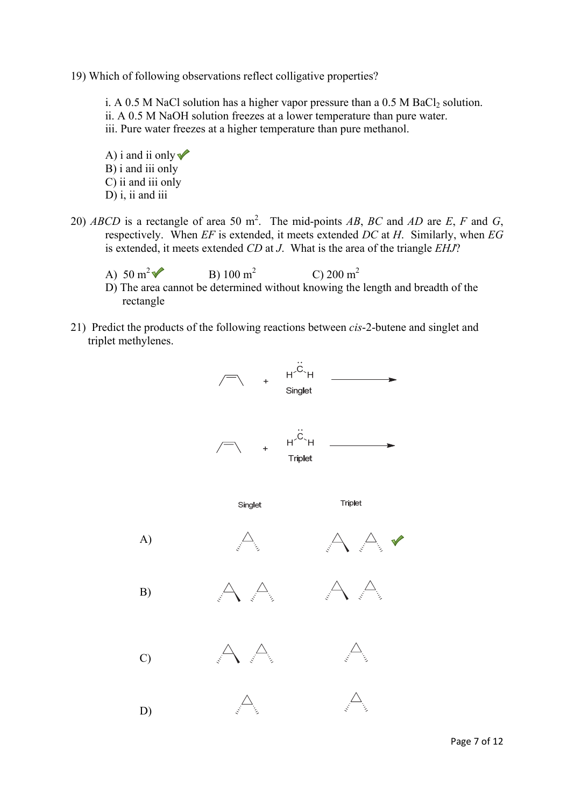19) Which of following observations reflect colligative properties?

i. A 0.5 M NaCl solution has a higher vapor pressure than a 0.5 M BaCl<sub>2</sub> solution. ii. A 0.5 M NaOH solution freezes at a lower temperature than pure water. iii. Pure water freezes at a higher temperature than pure methanol.

A) i and ii only  $\blacktriangledown$  B) i and iii only C) ii and iii only D) i, ii and iii

- 20) *ABCD* is a rectangle of area 50 m<sup>2</sup>. The mid-points *AB*, *BC* and *AD* are *E*, *F* and *G*, respectively. When *EF* is extended, it meets extended *DC* at *H*. Similarly, when *EG* is extended, it meets extended *CD* at *J*. What is the area of the triangle *EHJ*?
	- A)  $50 \text{ m}^2$ B)  $100 \text{ m}^2$ C) 200 m<sup>2</sup>
	- D) The area cannot be determined without knowing the length and breadth of the rectangle
- 21) Predict the products of the following reactions between *cis*-2-butene and singlet and triplet methylenes.

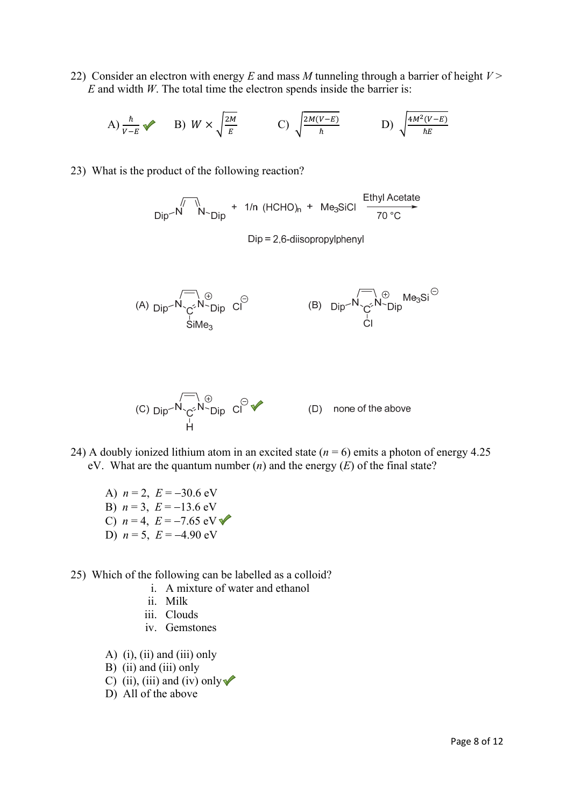22) Consider an electron with energy *E* and mass *M* tunneling through a barrier of height *V* > *E* and width *W*. The total time the electron spends inside the barrier is:

A)  $\frac{\hbar}{v - E}$  B)  $W \times \sqrt{\frac{2M}{E}}$  C)  $\sqrt{\frac{2M(V - E)}{\hbar}}$  D)  $\sqrt{\frac{4M^2(V - E)}{\hbar E}}$ 

23) What is the product of the following reaction?

$$
\text{Dip} - N \qquad \text{N} - \text{Dip} + 1/n \text{ (HCHO)}_n + \text{Me}_3 \text{SiCl } \xrightarrow[70 \text{ °C}]{\text{Ethyl Acetate}}
$$

 $Dip = 2.6$ -diisopropylphenyl





- 24) A doubly ionized lithium atom in an excited state  $(n = 6)$  emits a photon of energy 4.25 eV. What are the quantum number (*n*) and the energy (*E*) of the final state?
	- A)  $n = 2$ ,  $E = -30.6$  eV B)  $n = 3$ ,  $E = -13.6$  eV C)  $n = 4$ ,  $E = -7.65$  eV D)  $n = 5$ ,  $E = -4.90$  eV
- 25) Which of the following can be labelled as a colloid?
	- i. A mixture of water and ethanol
	- ii. Milk
	- iii. Clouds
	- iv. Gemstones
	- A)  $(i)$ ,  $(ii)$  and  $(iii)$  only
	- B) (ii) and (iii) only
	- C) (ii), (iii) and (iv) only  $\sqrt{\ }$
	- D) All of the above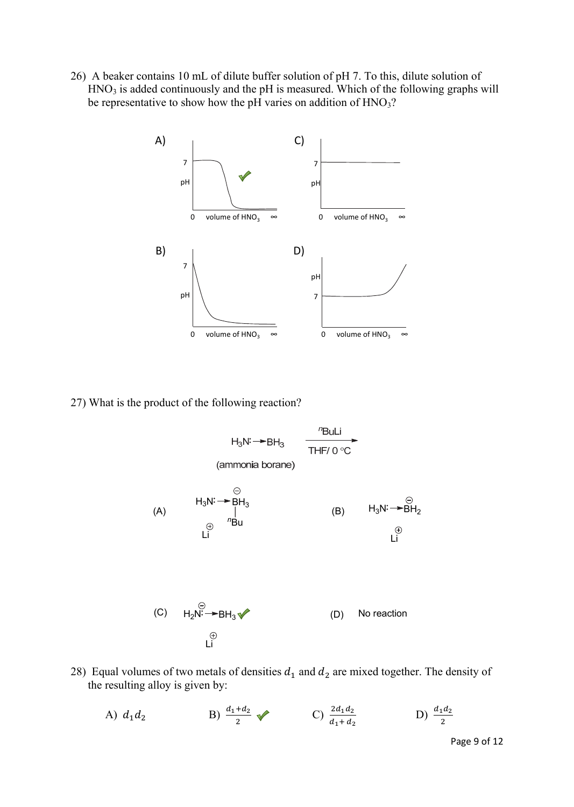26) A beaker contains 10 mL of dilute buffer solution of pH 7. To this, dilute solution of  $HNO<sub>3</sub>$  is added continuously and the pH is measured. Which of the following graphs will be representative to show how the pH varies on addition of HNO<sub>3</sub>?



27) What is the product of the following reaction?



- 28) Equal volumes of two metals of densities  $d_1$  and  $d_2$  are mixed together. The density of the resulting alloy is given by:
	- A)  $d_1 d_2$  B)  $\frac{d_1 + d_2}{2}$  C)  $\frac{2d_1 d_2}{d_1 + d_2}$ **b**)  $\frac{d_1 d_2}{2}$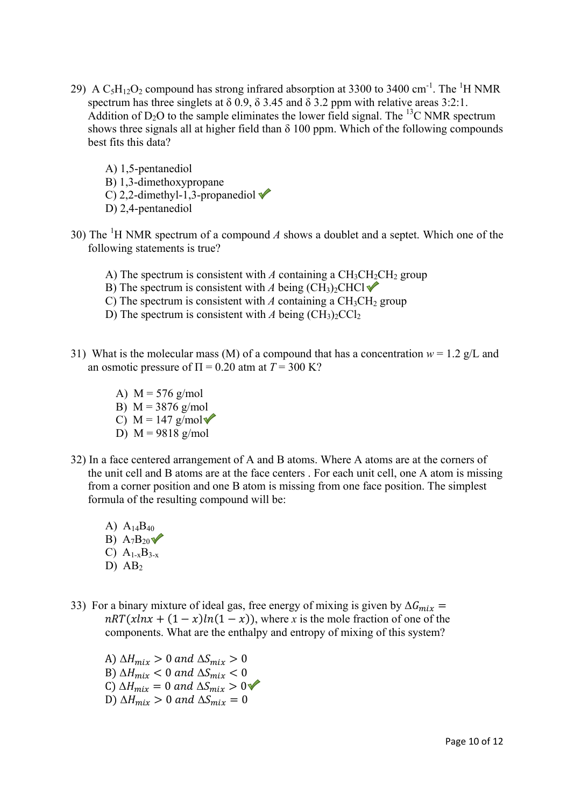- 29) A  $\text{C}_5\text{H}_{12}\text{O}_2$  compound has strong infrared absorption at 3300 to 3400 cm<sup>-1</sup>. The <sup>1</sup>H NMR spectrum has three singlets at  $\delta$  0.9,  $\delta$  3.45 and  $\delta$  3.2 ppm with relative areas 3:2:1. Addition of  $D_2O$  to the sample eliminates the lower field signal. The <sup>13</sup>C NMR spectrum shows three signals all at higher field than  $\delta$  100 ppm. Which of the following compounds best fits this data?
	- A) 1,5-pentanediol B) 1,3-dimethoxypropane C) 2,2-dimethyl-1,3-propanediol  $\blacktriangledown$ D) 2,4-pentanediol
- 30) The <sup>1</sup>H NMR spectrum of a compound  $A$  shows a doublet and a septet. Which one of the following statements is true?
	- A) The spectrum is consistent with  $A$  containing a  $CH<sub>3</sub>CH<sub>2</sub>CH<sub>2</sub>$  group
	- B) The spectrum is consistent with *A* being  $(CH_3)_2CHCl \blacktriangleright$
	- C) The spectrum is consistent with  $A$  containing a  $CH<sub>3</sub>CH<sub>2</sub>$  group
	- D) The spectrum is consistent with *A* being  $(CH_3)_2CCl_2$
- 31) What is the molecular mass (M) of a compound that has a concentration  $w = 1.2$  g/L and an osmotic pressure of  $\Pi = 0.20$  atm at  $T = 300$  K?
	- A)  $M = 576$  g/mol
	- B)  $M = 3876$  g/mol
	- C)  $M = 147$  g/mol
	- D)  $M = 9818$  g/mol
- 32) In a face centered arrangement of A and B atoms. Where A atoms are at the corners of the unit cell and B atoms are at the face centers . For each unit cell, one A atom is missing from a corner position and one B atom is missing from one face position. The simplest formula of the resulting compound will be:
	- A)  $A_{14}B_{40}$ B)  $A_7B_{20}$ C)  $A_{1-x}B_{3-x}$ D)  $AB<sub>2</sub>$
- 33) For a binary mixture of ideal gas, free energy of mixing is given by  $\Delta G_{mix}$  =  $nRT(xln x + (1 - x)ln(1 - x))$ , where *x* is the mole fraction of one of the components. What are the enthalpy and entropy of mixing of this system?

A)  $\Delta H_{mix} > 0$  and  $\Delta S_{mix} > 0$ B)  $\Delta H_{mix} < 0$  and  $\Delta S_{mix} < 0$ C)  $\Delta H_{mix} = 0$  and  $\Delta S_{mix} > 0$ D)  $\Delta H_{mix} > 0$  and  $\Delta S_{mix} = 0$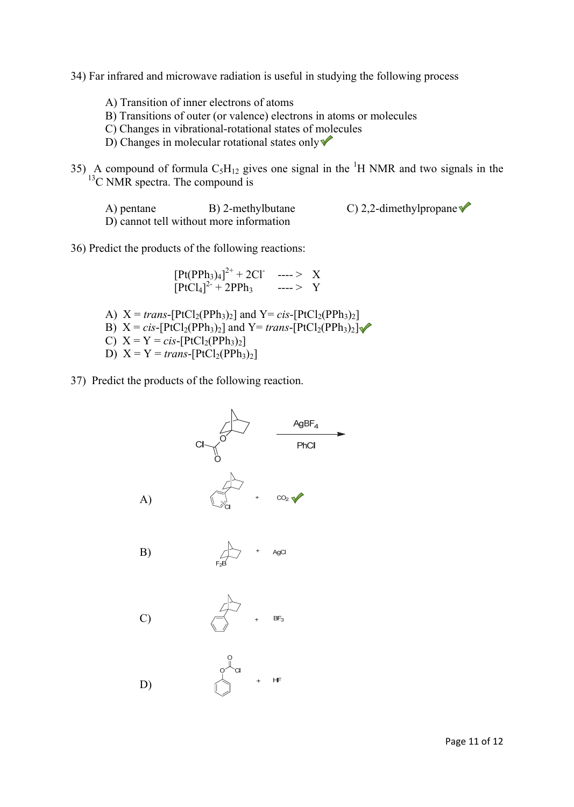34) Far infrared and microwave radiation is useful in studying the following process

- A) Transition of inner electrons of atoms
- B) Transitions of outer (or valence) electrons in atoms or molecules
- C) Changes in vibrational-rotational states of molecules
- D) Changes in molecular rotational states only  $\sqrt{\ }$

35) A compound of formula  $C_5H_{12}$  gives one signal in the <sup>1</sup>H NMR and two signals in the  $13$ C NMR spectra. The compound is

A) pentane B) 2-methylbutane C) 2,2-dimethylpropane  $\bullet$ D) cannot tell without more information

36) Predict the products of the following reactions:

 $[Pt(PPh<sub>3</sub>)<sub>4</sub>]<sup>2+</sup> + 2Cl^-$  ----> X  $[PCl_4]^{2^2} + 2PPh_3$  ----> Y

- A)  $X = trans-[PtCl<sub>2</sub>(PPh<sub>3</sub>)<sub>2</sub>]$  and  $Y = cis-[PtCl<sub>2</sub>(PPh<sub>3</sub>)<sub>2</sub>]$ B)  $X = cis-[PtCl_2(PPh_3)_2]$  and  $Y= trans-[PtCl_2(PPh_3)_2]$ C)  $X = Y = cis-[PtCl_2(PPh_3)_2]$ D)  $X = Y = trans-[PtCl_2(PPh_3)_2]$
- 37) Predict the products of the following reaction.